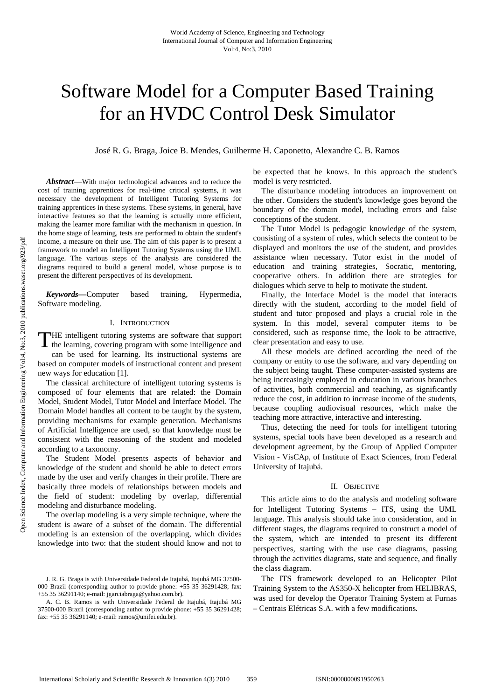# Software Model for a Computer Based Training for an HVDC Control Desk Simulator

José R. G. Braga, Joice B. Mendes, Guilherme H. Caponetto, Alexandre C. B. Ramos

*Abstract*—With major technological advances and to reduce the cost of training apprentices for real-time critical systems, it was necessary the development of Intelligent Tutoring Systems for training apprentices in these systems. These systems, in general, have interactive features so that the learning is actually more efficient, making the learner more familiar with the mechanism in question. In the home stage of learning, tests are performed to obtain the student's income, a measure on their use. The aim of this paper is to present a framework to model an Intelligent Tutoring Systems using the UML language. The various steps of the analysis are considered the diagrams required to build a general model, whose purpose is to present the different perspectives of its development.

*Keywords***—**Computer based training, Hypermedia, Software modeling.

## I. INTRODUCTION

THE intelligent tutoring systems are software that support the learning, covering program with some intelligence and the learning, covering program with some intelligence and can be used for learning. Its instructional systems are

based on computer models of instructional content and present new ways for education [1].

The classical architecture of intelligent tutoring systems is composed of four elements that are related: the Domain Model, Student Model, Tutor Model and Interface Model. The Domain Model handles all content to be taught by the system, providing mechanisms for example generation. Mechanisms of Artificial Intelligence are used, so that knowledge must be consistent with the reasoning of the student and modeled according to a taxonomy.

The Student Model presents aspects of behavior and knowledge of the student and should be able to detect errors made by the user and verify changes in their profile. There are basically three models of relationships between models and the field of student: modeling by overlap, differential modeling and disturbance modeling.

The overlap modeling is a very simple technique, where the student is aware of a subset of the domain. The differential modeling is an extension of the overlapping, which divides knowledge into two: that the student should know and not to be expected that he knows. In this approach the student's model is very restricted.

The disturbance modeling introduces an improvement on the other. Considers the student's knowledge goes beyond the boundary of the domain model, including errors and false conceptions of the student.

The Tutor Model is pedagogic knowledge of the system, consisting of a system of rules, which selects the content to be displayed and monitors the use of the student, and provides assistance when necessary. Tutor exist in the model of education and training strategies, Socratic, mentoring, cooperative others. In addition there are strategies for dialogues which serve to help to motivate the student.

Finally, the Interface Model is the model that interacts directly with the student, according to the model field of student and tutor proposed and plays a crucial role in the system. In this model, several computer items to be considered, such as response time, the look to be attractive, clear presentation and easy to use.

All these models are defined according the need of the company or entity to use the software, and vary depending on the subject being taught. These computer-assisted systems are being increasingly employed in education in various branches of activities, both commercial and teaching, as significantly reduce the cost, in addition to increase income of the students, because coupling audiovisual resources, which make the teaching more attractive, interactive and interesting.

Thus, detecting the need for tools for intelligent tutoring systems, special tools have been developed as a research and development agreement, by the Group of Applied Computer Vision - VisCAp, of Institute of Exact Sciences, from Federal University of Itajubá.

#### II. OBJECTIVE

This article aims to do the analysis and modeling software for Intelligent Tutoring Systems – ITS, using the UML language. This analysis should take into consideration, and in different stages, the diagrams required to construct a model of the system, which are intended to present its different perspectives, starting with the use case diagrams, passing through the activities diagrams, state and sequence, and finally the class diagram.

The ITS framework developed to an Helicopter Pilot Training System to the AS350-X helicopter from HELIBRAS, was used for develop the Operator Training System at Furnas – Centrais Elétricas S.A. with a few modifications*.* 

J. R. G. Braga is with Universidade Federal de Itajubá, Itajubá MG 37500- 000 Brazil (corresponding author to provide phone: +55 35 36291428; fax: +55 35 36291140; e-mail: jgarciabraga@yahoo.com.br).

A. C. B. Ramos is with Universidade Federal de Itajubá, Itajubá MG 37500-000 Brazil (corresponding author to provide phone: +55 35 36291428; fax: +55 35 36291140; e-mail: ramos@unifei.edu.br).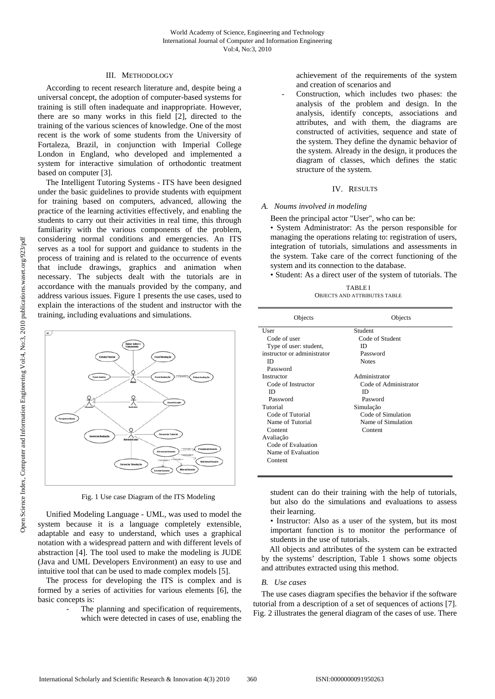## III. METHODOLOGY

According to recent research literature and, despite being a universal concept, the adoption of computer-based systems for training is still often inadequate and inappropriate. However, there are so many works in this field [2], directed to the training of the various sciences of knowledge. One of the most recent is the work of some students from the University of Fortaleza, Brazil, in conjunction with Imperial College London in England, who developed and implemented a system for interactive simulation of orthodontic treatment based on computer [3].

The Intelligent Tutoring Systems - ITS have been designed under the basic guidelines to provide students with equipment for training based on computers, advanced, allowing the practice of the learning activities effectively, and enabling the students to carry out their activities in real time, this through familiarity with the various components of the problem, considering normal conditions and emergencies. An ITS serves as a tool for support and guidance to students in the process of training and is related to the occurrence of events that include drawings, graphics and animation when necessary. The subjects dealt with the tutorials are in accordance with the manuals provided by the company, and address various issues. Figure 1 presents the use cases, used to explain the interactions of the student and instructor with the training, including evaluations and simulations.



Fig. 1 Use case Diagram of the ITS Modeling

Unified Modeling Language - UML, was used to model the system because it is a language completely extensible, adaptable and easy to understand, which uses a graphical notation with a widespread pattern and with different levels of abstraction [4]. The tool used to make the modeling is JUDE (Java and UML Developers Environment) an easy to use and intuitive tool that can be used to made complex models [5].

The process for developing the ITS is complex and is formed by a series of activities for various elements [6], the basic concepts is:

The planning and specification of requirements, which were detected in cases of use, enabling the achievement of the requirements of the system and creation of scenarios and

Construction, which includes two phases: the analysis of the problem and design. In the analysis, identify concepts, associations and attributes, and with them, the diagrams are constructed of activities, sequence and state of the system. They define the dynamic behavior of the system. Already in the design, it produces the diagram of classes, which defines the static structure of the system.

# IV. RESULTS

# *A. Noums involved in modeling*

Been the principal actor "User", who can be:

• System Administrator: As the person responsible for managing the operations relating to: registration of users, integration of tutorials, simulations and assessments in the system. Take care of the correct functioning of the system and its connection to the database.

• Student: As a direct user of the system of tutorials. The

TABLE I OBJECTS AND ATTRIBUTES TABLE

| Objects                     | Objects               |
|-----------------------------|-----------------------|
| User                        | Student               |
| Code of user                | Code of Student       |
| Type of user: student,      | ID                    |
| instructor or administrator | Password              |
| ID                          | <b>Notes</b>          |
| Password                    |                       |
| Instructor                  | Administrator         |
| Code of Instructor          | Code of Administrator |
| ID                          | ID                    |
| Password                    | Pasword               |
| Tutorial                    | Simulação             |
| Code of Tutorial            | Code of Simulation    |
| Name of Tutorial            | Name of Simulation    |
| Content                     | Content               |
| Avaliação                   |                       |
| Code of Evaluation          |                       |
| Name of Evaluation          |                       |
| Content                     |                       |
|                             |                       |

student can do their training with the help of tutorials, but also do the simulations and evaluations to assess their learning.

• Instructor: Also as a user of the system, but its most important function is to monitor the performance of students in the use of tutorials.

All objects and attributes of the system can be extracted by the systems' description, Table 1 shows some objects and attributes extracted using this method.

# *B. Use cases*

The use cases diagram specifies the behavior if the software tutorial from a description of a set of sequences of actions [7]. Fig. 2 illustrates the general diagram of the cases of use. There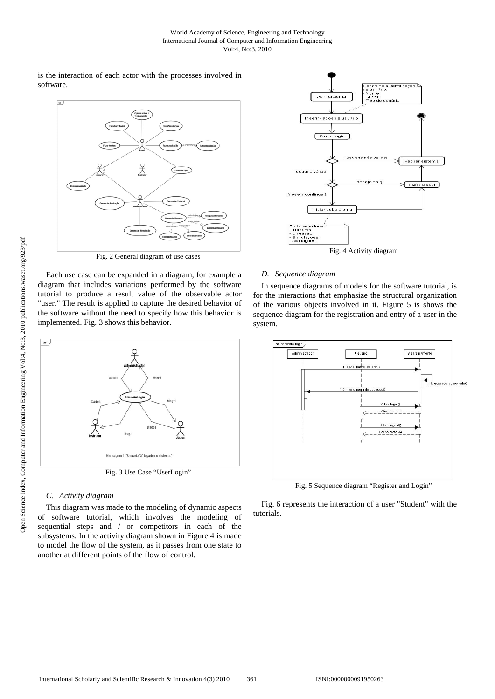is the interaction of each actor with the processes involved in software.



Fig. 2 General diagram of use cases

Each use case can be expanded in a diagram, for example a diagram that includes variations performed by the software tutorial to produce a result value of the observable actor "user." The result is applied to capture the desired behavior of the software without the need to specify how this behavior is implemented. Fig. 3 shows this behavior.



Fig. 3 Use Case "UserLogin"

## *C. Activity diagram*

This diagram was made to the modeling of dynamic aspects of software tutorial, which involves the modeling of sequential steps and / or competitors in each of the subsystems. In the activity diagram shown in Figure 4 is made to model the flow of the system, as it passes from one state to another at different points of the flow of control.



Fig. 4 Activity diagram

## *D. Sequence diagram*

In sequence diagrams of models for the software tutorial, is for the interactions that emphasize the structural organization of the various objects involved in it. Figure 5 is shows the sequence diagram for the registration and entry of a user in the system.



Fig. 5 Sequence diagram "Register and Login"

Fig. 6 represents the interaction of a user "Student" with the tutorials.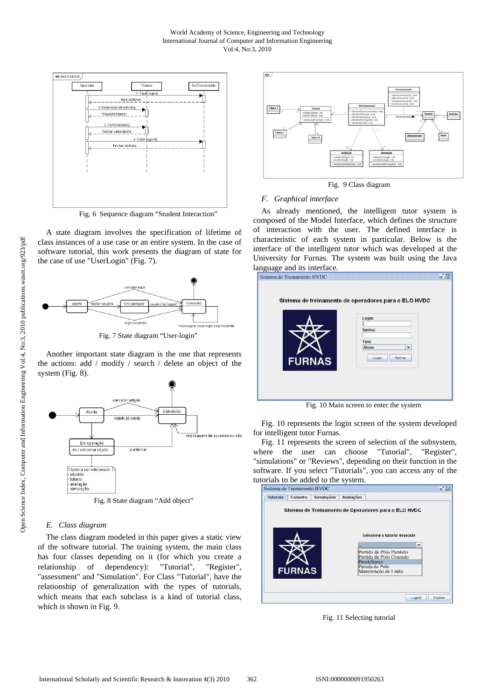#### World Academy of Science, Engineering and Technology International Journal of Computer and Information Engineering Vol:4, No:3, 2010



Fig. 6 Sequence diagram "Student Interaction"

A state diagram involves the specification of lifetime of class instances of a use case or an entire system. In the case of software tutorial, this work presents the diagram of state for the case of use "UserLogin" (Fig. 7).



Another important state diagram is the one that represents the actions: add / modify / search / delete an object of the system (Fig. 8).



Fig. 8 State diagram "Add object"

## *E. Class diagram*

The class diagram modeled in this paper gives a static view of the software tutorial. The training system, the main class has four classes depending on it (for which you create a relationship of dependency): "Tutorial", "Register", "assessment" and "Simulation". For Class "Tutorial", have the relationship of generalization with the types of tutorials, which means that each subclass is a kind of tutorial class, which is shown in Fig. 9.



Fig. 9 Class diagram

#### *F. Graphical interface*

As already mentioned, the intelligent tutor system is composed of the Model Interface, which defines the structure of interaction with the user. The defined interface is characteristic of each system in particular. Below is the interface of the intelligent tutor which was developed at the University for Furnas. The system was built using the Java language and its interface.

|               | Sistema de treinamento de operadores para o ELO HVDC |
|---------------|------------------------------------------------------|
|               | Login:                                               |
|               | Senha:                                               |
|               | Tipo:                                                |
|               | Aluno<br>▼                                           |
| <b>FURNAS</b> | Fechar<br>Logar                                      |
|               |                                                      |

Fig. 10 Main screen to enter the system

Fig. 10 represents the login screen of the system developed for intelligent tutor Furnas.

Fig. 11 represents the screen of selection of the subsystem, where the user can choose "Tutorial", "Register", "simulations" or "Reviews", depending on their function in the software. If you select "Tutorials", you can access any of the tutorials to be added to the system.



Fig. 11 Selecting tutorial